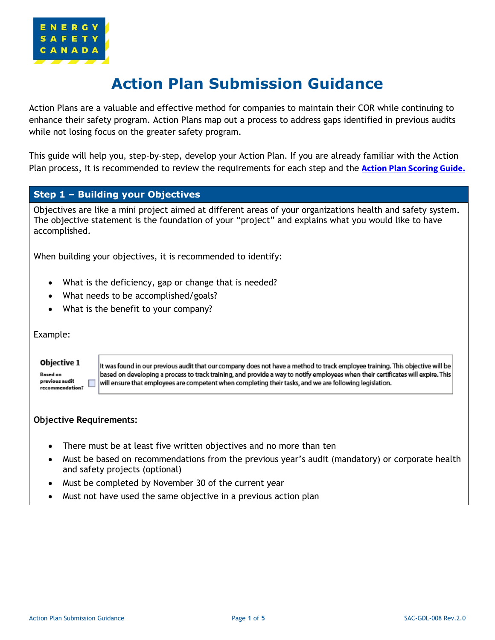

# **Action Plan Submission Guidance**

Action Plans are a valuable and effective method for companies to maintain their COR while continuing to enhance their safety program. Action Plans map out a process to address gaps identified in previous audits while not losing focus on the greater safety program.

This guide will help you, step-by-step, develop your Action Plan. If you are already familiar with the Action Plan process, it is recommended to review the requirements for each step and the **[Action Plan Scoring Guide.](#page-4-0)**

## **Step 1 – Building your Objectives**

Objectives are like a mini project aimed at different areas of your organizations health and safety system. The objective statement is the foundation of your "project" and explains what you would like to have accomplished.

When building your objectives, it is recommended to identify:

- What is the deficiency, gap or change that is needed?
- What needs to be accomplished/goals?
- What is the benefit to your company?

Example:

#### Objective 1

**Based on** previous audit recommendation?

It was found in our previous audit that our company does not have a method to track employee training. This objective will be based on developing a process to track training, and provide a way to notify employees when their certificates will expire. This will ensure that employees are competent when completing their tasks, and we are following legislation.

#### **Objective Requirements:**

ш

- There must be at least five written objectives and no more than ten
- Must be based on recommendations from the previous year's audit (mandatory) or corporate health and safety projects (optional)
- Must be completed by November 30 of the current year
- Must not have used the same objective in a previous action plan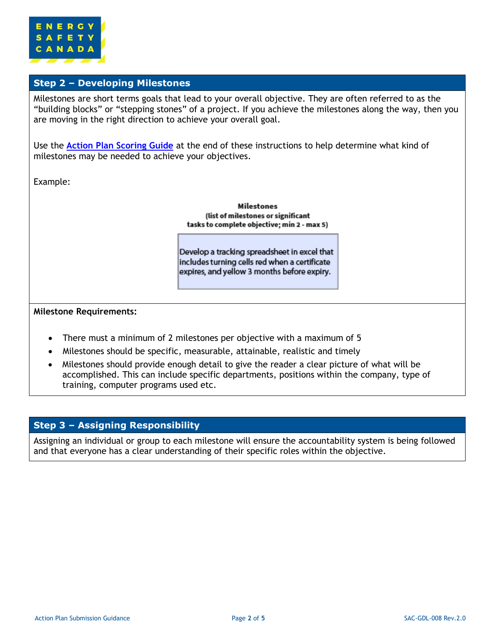

## **Step 2 – Developing Milestones**

Milestones are short terms goals that lead to your overall objective. They are often referred to as the "building blocks" or "stepping stones" of a project. If you achieve the milestones along the way, then you are moving in the right direction to achieve your overall goal.

Use the **[Action Plan Scoring Guide](#page-4-0)** at the end of these instructions to help determine what kind of milestones may be needed to achieve your objectives.

Example:

**Milestones** (list of milestones or significant tasks to complete objective; min 2 - max 5)

Develop a tracking spreadsheet in excel that includes turning cells red when a certificate expires, and yellow 3 months before expiry.

#### **Milestone Requirements:**

- There must a minimum of 2 milestones per objective with a maximum of 5
- Milestones should be specific, measurable, attainable, realistic and timely
- Milestones should provide enough detail to give the reader a clear picture of what will be accomplished. This can include specific departments, positions within the company, type of training, computer programs used etc.

### **Step 3 – Assigning Responsibility**

Assigning an individual or group to each milestone will ensure the accountability system is being followed and that everyone has a clear understanding of their specific roles within the objective.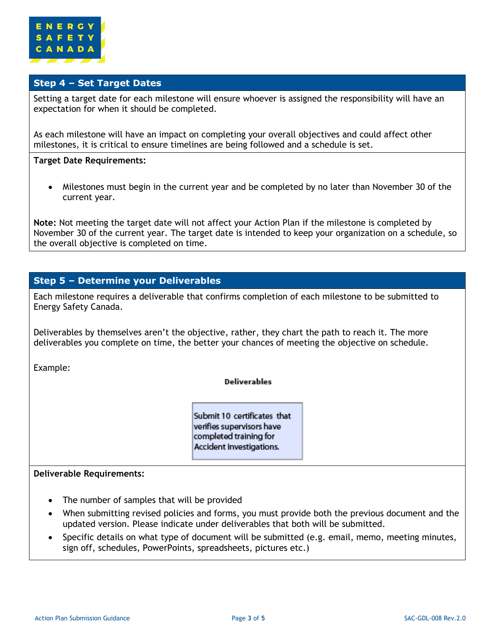

## **Step 4 – Set Target Dates**

Setting a target date for each milestone will ensure whoever is assigned the responsibility will have an expectation for when it should be completed.

As each milestone will have an impact on completing your overall objectives and could affect other milestones, it is critical to ensure timelines are being followed and a schedule is set.

#### **Target Date Requirements:**

• Milestones must begin in the current year and be completed by no later than November 30 of the current year.

**Note:** Not meeting the target date will not affect your Action Plan if the milestone is completed by November 30 of the current year. The target date is intended to keep your organization on a schedule, so the overall objective is completed on time.

## **Step 5 – Determine your Deliverables**

Each milestone requires a deliverable that confirms completion of each milestone to be submitted to Energy Safety Canada.

Deliverables by themselves aren't the objective, rather, they chart the path to reach it. The more deliverables you complete on time, the better your chances of meeting the objective on schedule.

Example:

#### **Deliverables**

Submit 10 certificates that verifies supervisors have completed training for Accident Investigations.

#### **Deliverable Requirements:**

- The number of samples that will be provided
- When submitting revised policies and forms, you must provide both the previous document and the updated version. Please indicate under deliverables that both will be submitted.
- Specific details on what type of document will be submitted (e.g. email, memo, meeting minutes, sign off, schedules, PowerPoints, spreadsheets, pictures etc.)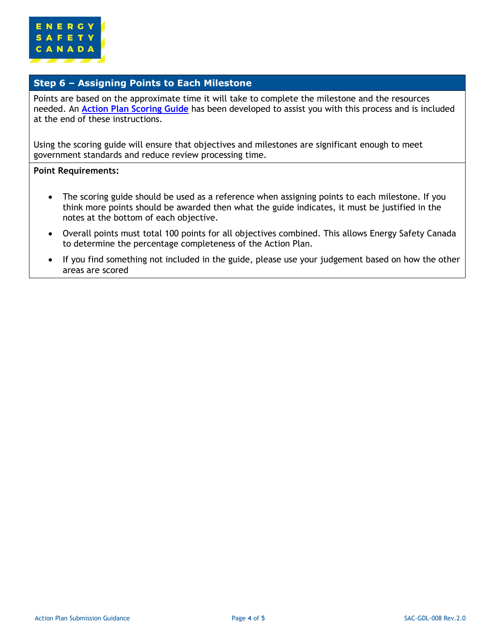

## **Step 6 – Assigning Points to Each Milestone**

Points are based on the approximate time it will take to complete the milestone and the resources needed. An **[Action Plan Scoring Guide](#page-4-0)** has been developed to assist you with this process and is included at the end of these instructions.

Using the scoring guide will ensure that objectives and milestones are significant enough to meet government standards and reduce review processing time.

#### **Point Requirements:**

- The scoring guide should be used as a reference when assigning points to each milestone. If you think more points should be awarded then what the guide indicates, it must be justified in the notes at the bottom of each objective.
- Overall points must total 100 points for all objectives combined. This allows Energy Safety Canada to determine the percentage completeness of the Action Plan.
- If you find something not included in the guide, please use your judgement based on how the other areas are scored